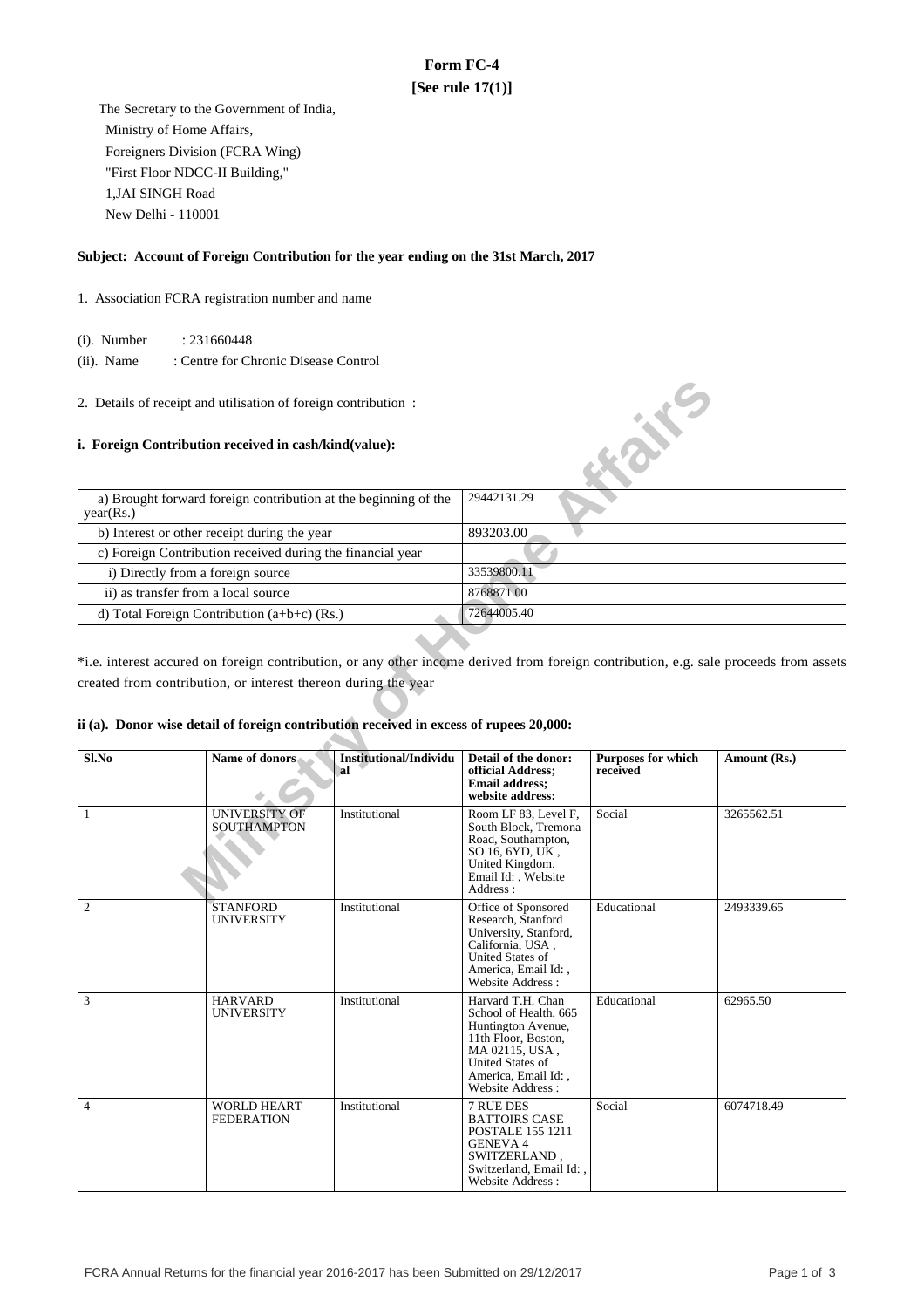# **Form FC-4 [See rule 17(1)]**

 The Secretary to the Government of India, Ministry of Home Affairs, Foreigners Division (FCRA Wing) "First Floor NDCC-II Building," 1,JAI SINGH Road New Delhi - 110001

### **Subject: Account of Foreign Contribution for the year ending on the 31st March, 2017**

- 1. Association FCRA registration number and name
	- (i). Number : 231660448
	- (ii). Name : Centre for Chronic Disease Control
- 2. Details of receipt and utilisation of foreign contribution :

### **i. Foreign Contribution received in cash/kind(value):**

| a) Brought forward foreign contribution at the beginning of the<br>year(Rs.) | 29442131.29 |
|------------------------------------------------------------------------------|-------------|
| b) Interest or other receipt during the year                                 | 893203.00   |
| c) Foreign Contribution received during the financial year                   |             |
| i) Directly from a foreign source                                            | 33539800.11 |
| ii) as transfer from a local source                                          | 8768871.00  |
| d) Total Foreign Contribution $(a+b+c)$ (Rs.)                                | 72644005.40 |

## **ii (a). Donor wise detail of foreign contribution received in excess of rupees 20,000:**

|                                     | 2. Details of receipt and utilisation of foreign contribution:                                                                                           |                                     |                                                                                                                                                                          | <b>KONE</b>                    |                                                                                                                                       |  |
|-------------------------------------|----------------------------------------------------------------------------------------------------------------------------------------------------------|-------------------------------------|--------------------------------------------------------------------------------------------------------------------------------------------------------------------------|--------------------------------|---------------------------------------------------------------------------------------------------------------------------------------|--|
|                                     | i. Foreign Contribution received in cash/kind(value):                                                                                                    |                                     |                                                                                                                                                                          |                                |                                                                                                                                       |  |
| year(Rs.)                           | a) Brought forward foreign contribution at the beginning of the                                                                                          |                                     | 29442131.29                                                                                                                                                              |                                |                                                                                                                                       |  |
|                                     | b) Interest or other receipt during the year                                                                                                             |                                     | 893203.00                                                                                                                                                                |                                |                                                                                                                                       |  |
|                                     | c) Foreign Contribution received during the financial year                                                                                               |                                     |                                                                                                                                                                          |                                |                                                                                                                                       |  |
| i) Directly from a foreign source   |                                                                                                                                                          |                                     | 33539800.11                                                                                                                                                              |                                |                                                                                                                                       |  |
| ii) as transfer from a local source |                                                                                                                                                          |                                     | 8768871.00                                                                                                                                                               |                                |                                                                                                                                       |  |
|                                     | d) Total Foreign Contribution $(a+b+c)$ (Rs.)                                                                                                            |                                     | 72644005.40                                                                                                                                                              |                                |                                                                                                                                       |  |
|                                     | created from contribution, or interest thereon during the year<br>ii (a). Donor wise detail of foreign contribution received in excess of rupees 20,000: |                                     |                                                                                                                                                                          |                                | *i.e. interest accured on foreign contribution, or any other income derived from foreign contribution, e.g. sale proceeds from assets |  |
| Sl.No                               | Name of donors                                                                                                                                           | <b>Institutional/Individu</b><br>al | Detail of the donor:<br>official Address;<br><b>Email address:</b><br>website address:                                                                                   | Purposes for which<br>received | Amount (Rs.)                                                                                                                          |  |
| $\mathbf{1}$                        | <b>UNIVERSITY OF</b><br><b>SOUTHAMPTON</b>                                                                                                               | Institutional                       | Room LF 83, Level F,<br>South Block, Tremona<br>Road, Southampton,<br>SO 16, 6YD, UK,<br>United Kingdom,<br>Email Id:, Website<br>Address:                               | Social                         | 3265562.51                                                                                                                            |  |
| 2                                   | <b>STANFORD</b><br><b>UNIVERSITY</b>                                                                                                                     | Institutional                       | Office of Sponsored<br>Research, Stanford<br>University, Stanford,<br>California, USA,<br>United States of<br>America, Email Id:,<br>Website Address:                    | Educational                    | 2493339.65                                                                                                                            |  |
| 3                                   | <b>HARVARD</b><br>UNIVERSITY                                                                                                                             | Institutional                       | Harvard T.H. Chan<br>School of Health, 665<br>Huntington Avenue,<br>11th Floor, Boston,<br>MA 02115, USA,<br>United States of<br>America, Email Id:,<br>Website Address: | Educational                    | 62965.50                                                                                                                              |  |
| $\overline{4}$                      | <b>WORLD HEART</b><br><b>FEDERATION</b>                                                                                                                  | Institutional                       | 7 RUE DES<br><b>BATTOIRS CASE</b><br><b>POSTALE 155 1211</b><br><b>GENEVA 4</b><br>SWITZERLAND.<br>Switzerland, Email Id:,<br>Website Address:                           | Social                         | 6074718.49                                                                                                                            |  |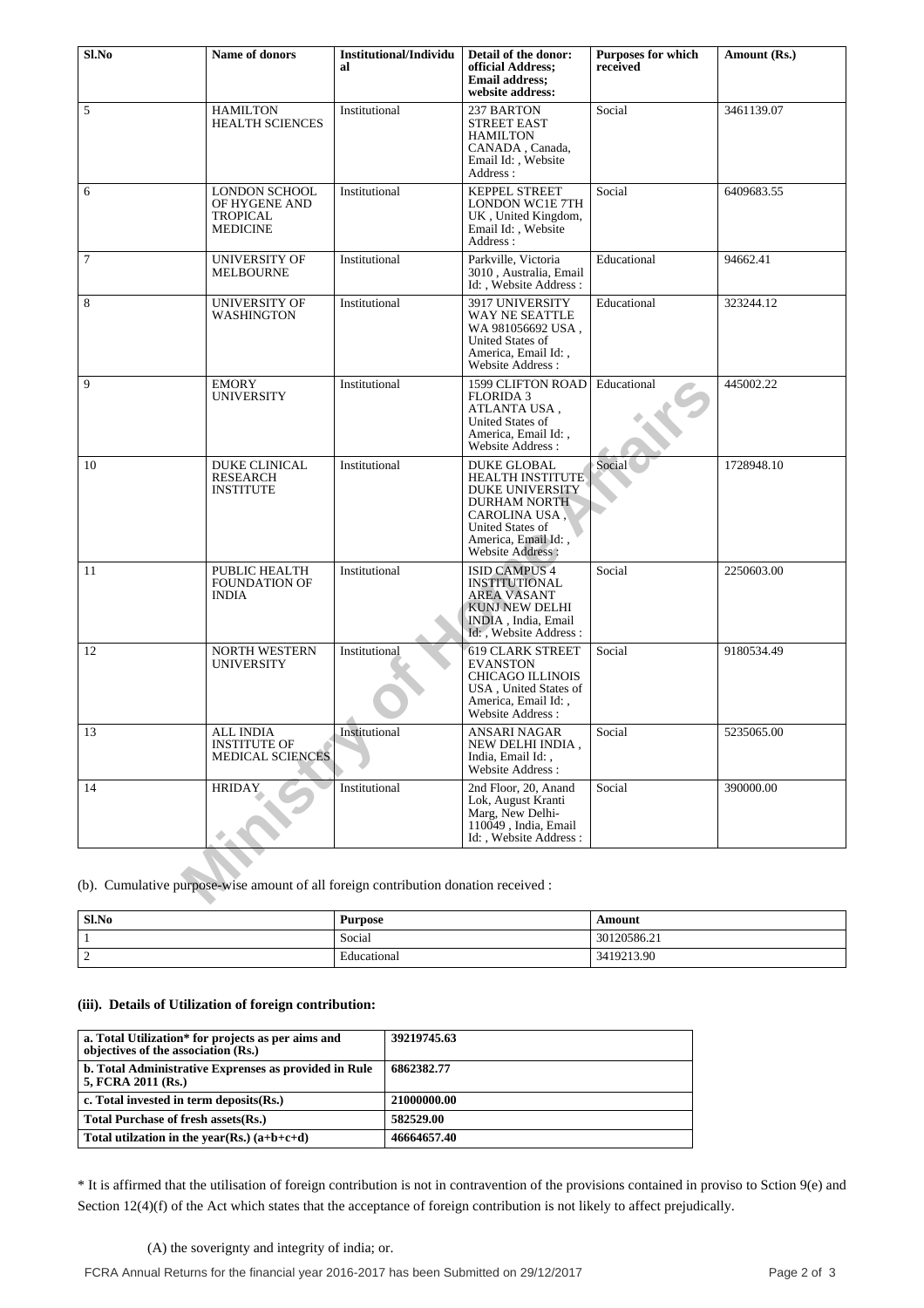| Sl.No                                                                               | Name of donors                                                       | Institutional/Individu<br>al | Detail of the donor:<br>official Address:<br><b>Email address:</b><br>website address:                                                                                  | <b>Purposes for which</b><br>received | Amount (Rs.) |
|-------------------------------------------------------------------------------------|----------------------------------------------------------------------|------------------------------|-------------------------------------------------------------------------------------------------------------------------------------------------------------------------|---------------------------------------|--------------|
| 5                                                                                   | <b>HAMILTON</b><br><b>HEALTH SCIENCES</b>                            | Institutional                | 237 BARTON<br><b>STREET EAST</b><br><b>HAMILTON</b><br>CANADA, Canada,<br>Email Id:, Website<br>Address:                                                                | Social                                | 3461139.07   |
| 6                                                                                   | LONDON SCHOOL<br>OF HYGENE AND<br><b>TROPICAL</b><br><b>MEDICINE</b> | Institutional                | KEPPEL STREET<br><b>LONDON WC1E 7TH</b><br>UK, United Kingdom,<br>Email Id:, Website<br>Address:                                                                        | Social                                | 6409683.55   |
| $\tau$                                                                              | <b>UNIVERSITY OF</b><br><b>MELBOURNE</b>                             | Institutional                | Parkville, Victoria<br>3010, Australia, Email<br>Id: , Website Address :                                                                                                | Educational                           | 94662.41     |
| 8                                                                                   | UNIVERSITY OF<br><b>WASHINGTON</b>                                   | Institutional                | 3917 UNIVERSITY<br>WAY NE SEATTLE<br>WA 981056692 USA,<br>United States of<br>America, Email Id:,<br>Website Address:                                                   | Educational                           | 323244.12    |
| 9                                                                                   | <b>EMORY</b><br><b>UNIVERSITY</b>                                    | Institutional                | <b>1599 CLIFTON ROAD</b><br><b>FLORIDA 3</b><br>ATLANTA USA,<br>United States of<br>America, Email Id:,<br>Website Address:                                             | Educational                           | 445002.22    |
| 10                                                                                  | DUKE CLINICAL<br><b>RESEARCH</b><br><b>INSTITUTE</b>                 | Institutional                | <b>DUKE GLOBAL</b><br><b>HEALTH INSTITUTE</b><br>DUKE UNIVERSITY<br><b>DURHAM NORTH</b><br>CAROLINA USA,<br>United States of<br>America, Email Id:,<br>Website Address: | Social                                | 1728948.10   |
| 11                                                                                  | PUBLIC HEALTH<br><b>FOUNDATION OF</b><br><b>INDIA</b>                | Institutional                | <b>ISID CAMPUS 4</b><br><b>INSTITUTIONAL</b><br><b>AREA VASANT</b><br>KUNJ NEW DELHI<br>INDIA, India, Email<br>Id: , Website Address:                                   | Social                                | 2250603.00   |
| 12                                                                                  | <b>NORTH WESTERN</b><br>UNIVERSITY                                   | Institutional                | <b>619 CLARK STREET</b><br><b>EVANSTON</b><br><b>CHICAGO ILLINOIS</b><br>USA, United States of<br>America, Email Id:,<br>Website Address:                               | Social                                | 9180534.49   |
| 13                                                                                  | ALL INDIA<br><b>INSTITUTE OF</b><br><b>MEDICAL SCIENCES</b>          | Institutional                | <b>ANSARI NAGAR</b><br>NEW DELHI INDIA,<br>India, Email Id:,<br>Website Address:                                                                                        | Social                                | 5235065.00   |
| 14                                                                                  | <b>HRIDAY</b>                                                        | Institutional                | 2nd Floor, 20, Anand<br>Lok, August Kranti<br>Marg, New Delhi-<br>110049, India, Email<br>Id:, Website Address:                                                         | Social                                | 390000.00    |
| (b). Cumulative purpose-wise amount of all foreign contribution donation received : |                                                                      |                              |                                                                                                                                                                         |                                       |              |

| Sl.No              | <b>Purpose</b> | Amount      |
|--------------------|----------------|-------------|
|                    | Social         | 30120586.21 |
| $\sim$<br><b>_</b> | Educational    | 3419213.90  |

### **(iii). Details of Utilization of foreign contribution:**

| a. Total Utilization* for projects as per aims and<br>objectives of the association (Rs.) | 39219745.63 |
|-------------------------------------------------------------------------------------------|-------------|
| b. Total Administrative Exprenses as provided in Rule<br>5, FCRA 2011 (Rs.)               | 6862382.77  |
| c. Total invested in term deposits $(Rs.)$                                                | 21000000.00 |
| Total Purchase of fresh assets (Rs.)                                                      | 582529.00   |
| Total utilization in the year(Rs.) $(a+b+c+d)$                                            | 46664657.40 |

\* It is affirmed that the utilisation of foreign contribution is not in contravention of the provisions contained in proviso to Sction 9(e) and Section 12(4)(f) of the Act which states that the acceptance of foreign contribution is not likely to affect prejudically.